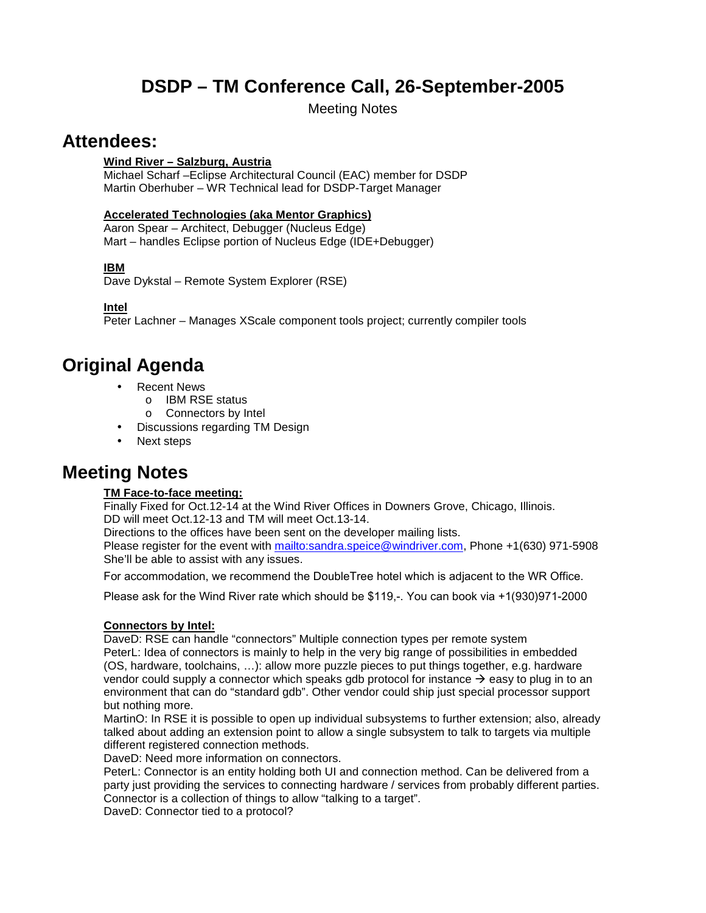# **DSDP – TM Conference Call, 26-September-2005**

Meeting Notes

## **Attendees:**

### **Wind River – Salzburg, Austria**

Michael Scharf –Eclipse Architectural Council (EAC) member for DSDP Martin Oberhuber – WR Technical lead for DSDP-Target Manager

### **Accelerated Technologies (aka Mentor Graphics)**

Aaron Spear – Architect, Debugger (Nucleus Edge) Mart – handles Eclipse portion of Nucleus Edge (IDE+Debugger)

### **IBM**

Dave Dykstal – Remote System Explorer (RSE)

**Intel**

Peter Lachner – Manages XScale component tools project; currently compiler tools

# **Original Agenda**

- Recent News
	- o IBM RSE status
	- o Connectors by Intel
- Discussions regarding TM Design
- Next steps

# **Meeting Notes**

### **TM Face-to-face meeting:**

Finally Fixed for Oct.12-14 at the Wind River Offices in Downers Grove, Chicago, Illinois. DD will meet Oct.12-13 and TM will meet Oct.13-14.

Directions to the offices have been sent on the developer mailing lists. Please register for the event with mailto:sandra.speice@windriver.com, Phone +1(630) 971-5908 She'll be able to assist with any issues.

For accommodation, we recommend the DoubleTree hotel which is adjacent to the WR Office.

Please ask for the Wind River rate which should be \$119,-. You can book via +1(930)971-2000

### **Connectors by Intel:**

DaveD: RSE can handle "connectors" Multiple connection types per remote system PeterL: Idea of connectors is mainly to help in the very big range of possibilities in embedded (OS, hardware, toolchains, …): allow more puzzle pieces to put things together, e.g. hardware vendor could supply a connector which speaks gdb protocol for instance  $\rightarrow$  easy to plug in to an environment that can do "standard gdb". Other vendor could ship just special processor support but nothing more.

MartinO: In RSE it is possible to open up individual subsystems to further extension; also, already talked about adding an extension point to allow a single subsystem to talk to targets via multiple different registered connection methods.

DaveD: Need more information on connectors.

PeterL: Connector is an entity holding both UI and connection method. Can be delivered from a party just providing the services to connecting hardware / services from probably different parties. Connector is a collection of things to allow "talking to a target".

DaveD: Connector tied to a protocol?